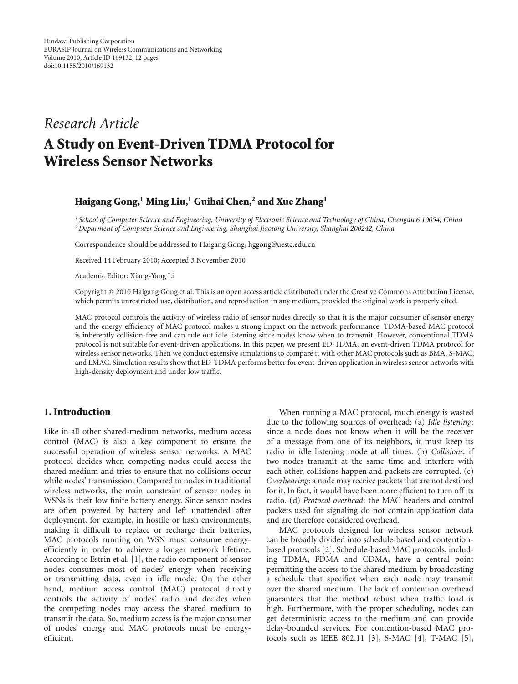# *Research Article*

# **A Study on Event-Driven TDMA Protocol for Wireless Sensor Networks**

# **Haigang Gong,1 Ming Liu,1 Guihai Chen,2 and Xue Zhang1**

*<sup>1</sup> School of Computer Science and Engineering, University of Electronic Science and Technology of China, Chengdu 6 10054, China 2Deparment of Computer Science and Engineering, Shanghai Jiaotong University, Shanghai 200242, China*

Correspondence should be addressed to Haigang Gong, hggong@uestc.edu.cn

Received 14 February 2010; Accepted 3 November 2010

Academic Editor: Xiang-Yang Li

Copyright © 2010 Haigang Gong et al. This is an open access article distributed under the Creative Commons Attribution License, which permits unrestricted use, distribution, and reproduction in any medium, provided the original work is properly cited.

MAC protocol controls the activity of wireless radio of sensor nodes directly so that it is the major consumer of sensor energy and the energy efficiency of MAC protocol makes a strong impact on the network performance. TDMA-based MAC protocol is inherently collision-free and can rule out idle listening since nodes know when to transmit. However, conventional TDMA protocol is not suitable for event-driven applications. In this paper, we present ED-TDMA, an event-driven TDMA protocol for wireless sensor networks. Then we conduct extensive simulations to compare it with other MAC protocols such as BMA, S-MAC, and LMAC. Simulation results show that ED-TDMA performs better for event-driven application in wireless sensor networks with high-density deployment and under low traffic.

### **1. Introduction**

Like in all other shared-medium networks, medium access control (MAC) is also a key component to ensure the successful operation of wireless sensor networks. A MAC protocol decides when competing nodes could access the shared medium and tries to ensure that no collisions occur while nodes' transmission. Compared to nodes in traditional wireless networks, the main constraint of sensor nodes in WSNs is their low finite battery energy. Since sensor nodes are often powered by battery and left unattended after deployment, for example, in hostile or hash environments, making it difficult to replace or recharge their batteries, MAC protocols running on WSN must consume energyefficiently in order to achieve a longer network lifetime. According to Estrin et al. [1], the radio component of sensor nodes consumes most of nodes' energy when receiving or transmitting data, even in idle mode. On the other hand, medium access control (MAC) protocol directly controls the activity of nodes' radio and decides when the competing nodes may access the shared medium to transmit the data. So, medium access is the major consumer of nodes' energy and MAC protocols must be energyefficient.

When running a MAC protocol, much energy is wasted due to the following sources of overhead: (a) *Idle listening*: since a node does not know when it will be the receiver of a message from one of its neighbors, it must keep its radio in idle listening mode at all times. (b) *Collisions*: if two nodes transmit at the same time and interfere with each other, collisions happen and packets are corrupted. (c) *Overhearing*: a node may receive packets that are not destined for it. In fact, it would have been more efficient to turn off its radio. (d) *Protocol overhead*: the MAC headers and control packets used for signaling do not contain application data and are therefore considered overhead.

MAC protocols designed for wireless sensor network can be broadly divided into schedule-based and contentionbased protocols [2]. Schedule-based MAC protocols, including TDMA, FDMA and CDMA, have a central point permitting the access to the shared medium by broadcasting a schedule that specifies when each node may transmit over the shared medium. The lack of contention overhead guarantees that the method robust when traffic load is high. Furthermore, with the proper scheduling, nodes can get deterministic access to the medium and can provide delay-bounded services. For contention-based MAC protocols such as IEEE 802.11 [3], S-MAC [4], T-MAC [5],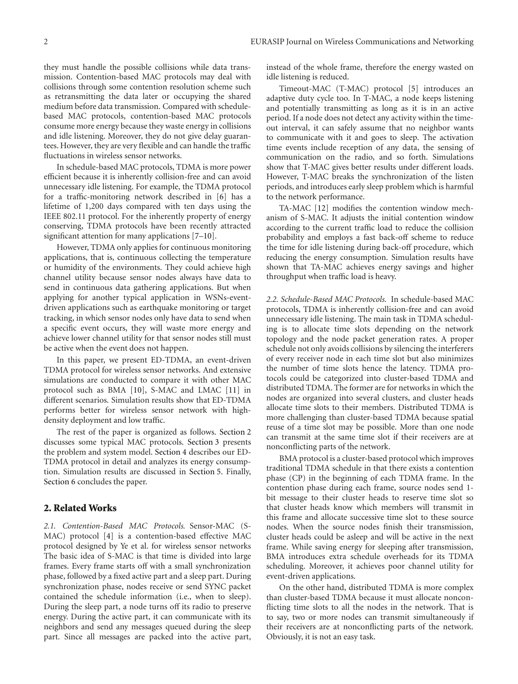they must handle the possible collisions while data transmission. Contention-based MAC protocols may deal with collisions through some contention resolution scheme such as retransmitting the data later or occupying the shared medium before data transmission. Compared with schedulebased MAC protocols, contention-based MAC protocols consume more energy because they waste energy in collisions and idle listening. Moreover, they do not give delay guarantees. However, they are very flexible and can handle the traffic fluctuations in wireless sensor networks.

In schedule-based MAC protocols, TDMA is more power efficient because it is inherently collision-free and can avoid unnecessary idle listening. For example, the TDMA protocol for a traffic-monitoring network described in [6] has a lifetime of 1,200 days compared with ten days using the IEEE 802.11 protocol. For the inherently property of energy conserving, TDMA protocols have been recently attracted significant attention for many applications [7–10].

However, TDMA only applies for continuous monitoring applications, that is, continuous collecting the temperature or humidity of the environments. They could achieve high channel utility because sensor nodes always have data to send in continuous data gathering applications. But when applying for another typical application in WSNs-eventdriven applications such as earthquake monitoring or target tracking, in which sensor nodes only have data to send when a specific event occurs, they will waste more energy and achieve lower channel utility for that sensor nodes still must be active when the event does not happen.

In this paper, we present ED-TDMA, an event-driven TDMA protocol for wireless sensor networks. And extensive simulations are conducted to compare it with other MAC protocol such as BMA [10], S-MAC and LMAC [11] in different scenarios. Simulation results show that ED-TDMA performs better for wireless sensor network with highdensity deployment and low traffic.

The rest of the paper is organized as follows. Section 2 discusses some typical MAC protocols. Section 3 presents the problem and system model. Section 4 describes our ED-TDMA protocol in detail and analyzes its energy consumption. Simulation results are discussed in Section 5. Finally, Section 6 concludes the paper.

#### **2. Related Works**

*2.1. Contention-Based MAC Protocols.* Sensor-MAC (S-MAC) protocol [4] is a contention-based effective MAC protocol designed by Ye et al. for wireless sensor networks The basic idea of S-MAC is that time is divided into large frames. Every frame starts off with a small synchronization phase, followed by a fixed active part and a sleep part. During synchronization phase, nodes receive or send SYNC packet contained the schedule information (i.e., when to sleep). During the sleep part, a node turns off its radio to preserve energy. During the active part, it can communicate with its neighbors and send any messages queued during the sleep part. Since all messages are packed into the active part, instead of the whole frame, therefore the energy wasted on idle listening is reduced.

Timeout-MAC (T-MAC) protocol [5] introduces an adaptive duty cycle too. In T-MAC, a node keeps listening and potentially transmitting as long as it is in an active period. If a node does not detect any activity within the timeout interval, it can safely assume that no neighbor wants to communicate with it and goes to sleep. The activation time events include reception of any data, the sensing of communication on the radio, and so forth. Simulations show that T-MAC gives better results under different loads. However, T-MAC breaks the synchronization of the listen periods, and introduces early sleep problem which is harmful to the network performance.

TA-MAC [12] modifies the contention window mechanism of S-MAC. It adjusts the initial contention window according to the current traffic load to reduce the collision probability and employs a fast back-off scheme to reduce the time for idle listening during back-off procedure, which reducing the energy consumption. Simulation results have shown that TA-MAC achieves energy savings and higher throughput when traffic load is heavy.

*2.2. Schedule-Based MAC Protocols.* In schedule-based MAC protocols, TDMA is inherently collision-free and can avoid unnecessary idle listening. The main task in TDMA scheduling is to allocate time slots depending on the network topology and the node packet generation rates. A proper schedule not only avoids collisions by silencing the interferers of every receiver node in each time slot but also minimizes the number of time slots hence the latency. TDMA protocols could be categorized into cluster-based TDMA and distributed TDMA. The former are for networks in which the nodes are organized into several clusters, and cluster heads allocate time slots to their members. Distributed TDMA is more challenging than cluster-based TDMA because spatial reuse of a time slot may be possible. More than one node can transmit at the same time slot if their receivers are at nonconflicting parts of the network.

BMA protocol is a cluster-based protocol which improves traditional TDMA schedule in that there exists a contention phase (CP) in the beginning of each TDMA frame. In the contention phase during each frame, source nodes send 1 bit message to their cluster heads to reserve time slot so that cluster heads know which members will transmit in this frame and allocate successive time slot to these source nodes. When the source nodes finish their transmission, cluster heads could be asleep and will be active in the next frame. While saving energy for sleeping after transmission, BMA introduces extra schedule overheads for its TDMA scheduling. Moreover, it achieves poor channel utility for event-driven applications.

On the other hand, distributed TDMA is more complex than cluster-based TDMA because it must allocate nonconflicting time slots to all the nodes in the network. That is to say, two or more nodes can transmit simultaneously if their receivers are at nonconflicting parts of the network. Obviously, it is not an easy task.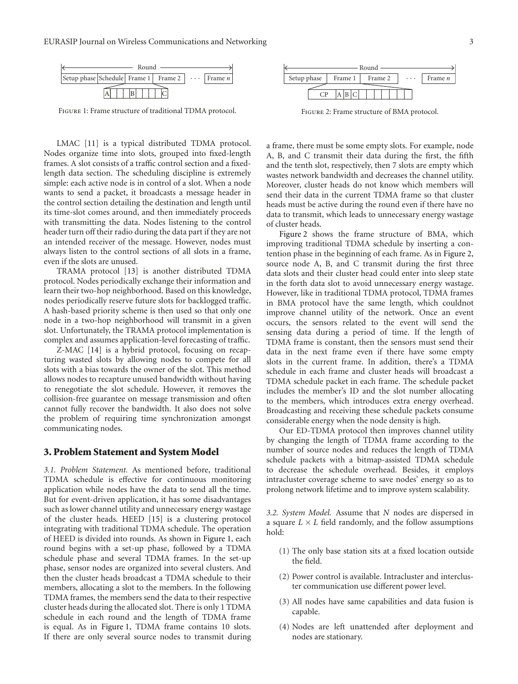

Figure 1: Frame structure of traditional TDMA protocol.

LMAC [11] is a typical distributed TDMA protocol. Nodes organize time into slots, grouped into fixed-length frames. A slot consists of a traffic control section and a fixedlength data section. The scheduling discipline is extremely simple: each active node is in control of a slot. When a node wants to send a packet, it broadcasts a message header in the control section detailing the destination and length until its time-slot comes around, and then immediately proceeds with transmitting the data. Nodes listening to the control header turn off their radio during the data part if they are not an intended receiver of the message. However, nodes must always listen to the control sections of all slots in a frame, even if the slots are unused.

TRAMA protocol [13] is another distributed TDMA protocol. Nodes periodically exchange their information and learn their two-hop neighborhood. Based on this knowledge, nodes periodically reserve future slots for backlogged traffic. A hash-based priority scheme is then used so that only one node in a two-hop neighborhood will transmit in a given slot. Unfortunately, the TRAMA protocol implementation is complex and assumes application-level forecasting of traffic.

Z-MAC [14] is a hybrid protocol, focusing on recapturing wasted slots by allowing nodes to compete for all slots with a bias towards the owner of the slot. This method allows nodes to recapture unused bandwidth without having to renegotiate the slot schedule. However, it removes the collision-free guarantee on message transmission and often cannot fully recover the bandwidth. It also does not solve the problem of requiring time synchronization amongst communicating nodes.

#### **3. Problem Statement and System Model**

*3.1. Problem Statement.* As mentioned before, traditional TDMA schedule is effective for continuous monitoring application while nodes have the data to send all the time. But for event-driven application, it has some disadvantages such as lower channel utility and unnecessary energy wastage of the cluster heads. HEED [15] is a clustering protocol integrating with traditional TDMA schedule. The operation of HEED is divided into rounds. As shown in Figure 1, each round begins with a set-up phase, followed by a TDMA schedule phase and several TDMA frames. In the set-up phase, sensor nodes are organized into several clusters. And then the cluster heads broadcast a TDMA schedule to their members, allocating a slot to the members. In the following TDMA frames, the members send the data to their respective cluster heads during the allocated slot. There is only 1 TDMA schedule in each round and the length of TDMA frame is equal. As in Figure 1, TDMA frame contains 10 slots. If there are only several source nodes to transmit during



Figure 2: Frame structure of BMA protocol.

a frame, there must be some empty slots. For example, node A, B, and C transmit their data during the first, the fifth and the tenth slot, respectively, then 7 slots are empty which wastes network bandwidth and decreases the channel utility. Moreover, cluster heads do not know which members will send their data in the current TDMA frame so that cluster heads must be active during the round even if there have no data to transmit, which leads to unnecessary energy wastage of cluster heads.

Figure 2 shows the frame structure of BMA, which improving traditional TDMA schedule by inserting a contention phase in the beginning of each frame. As in Figure 2, source node A, B, and C transmit during the first three data slots and their cluster head could enter into sleep state in the forth data slot to avoid unnecessary energy wastage. However, like in traditional TDMA protocol, TDMA frames in BMA protocol have the same length, which couldnot improve channel utility of the network. Once an event occurs, the sensors related to the event will send the sensing data during a period of time. If the length of TDMA frame is constant, then the sensors must send their data in the next frame even if there have some empty slots in the current frame. In addition, there's a TDMA schedule in each frame and cluster heads will broadcast a TDMA schedule packet in each frame. The schedule packet includes the member's ID and the slot number allocating to the members, which introduces extra energy overhead. Broadcasting and receiving these schedule packets consume considerable energy when the node density is high.

Our ED-TDMA protocol then improves channel utility by changing the length of TDMA frame according to the number of source nodes and reduces the length of TDMA schedule packets with a bitmap-assisted TDMA schedule to decrease the schedule overhead. Besides, it employs intracluster coverage scheme to save nodes' energy so as to prolong network lifetime and to improve system scalability.

*3.2. System Model.* Assume that *N* nodes are dispersed in a square  $L \times L$  field randomly, and the follow assumptions hold:

- (1) The only base station sits at a fixed location outside the field.
- (2) Power control is available. Intracluster and intercluster communication use different power level.
- (3) All nodes have same capabilities and data fusion is capable.
- (4) Nodes are left unattended after deployment and nodes are stationary.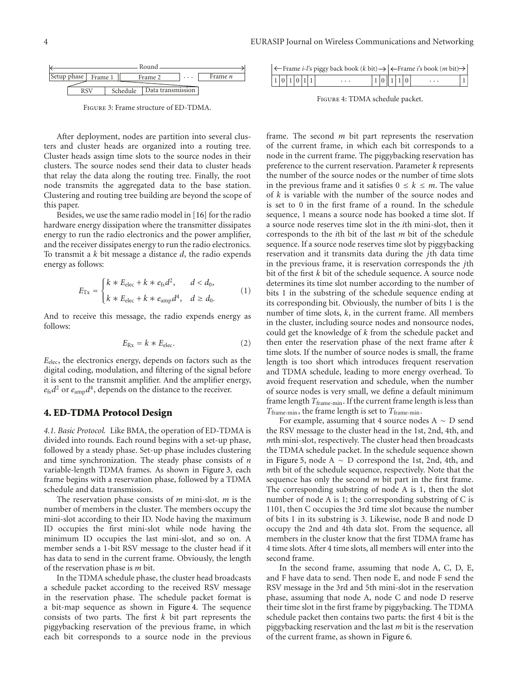

Figure 3: Frame structure of ED-TDMA.

After deployment, nodes are partition into several clusters and cluster heads are organized into a routing tree. Cluster heads assign time slots to the source nodes in their clusters. The source nodes send their data to cluster heads that relay the data along the routing tree. Finally, the root node transmits the aggregated data to the base station. Clustering and routing tree building are beyond the scope of this paper.

Besides, we use the same radio model in [16] for the radio hardware energy dissipation where the transmitter dissipates energy to run the radio electronics and the power amplifier, and the receiver dissipates energy to run the radio electronics. To transmit a *k* bit message a distance *d*, the radio expends energy as follows:

$$
E_{\text{Tx}} = \begin{cases} k * E_{\text{elec}} + k * e_{\text{fs}} d^2, & d < d_0, \\ k * E_{\text{elec}} + k * e_{\text{amp}} d^4, & d \ge d_0. \end{cases}
$$
 (1)

And to receive this message, the radio expends energy as follows:

$$
E_{\text{Rx}} = k * E_{\text{elec}}.\tag{2}
$$

*E*elec, the electronics energy, depends on factors such as the digital coding, modulation, and filtering of the signal before it is sent to the transmit amplifier. And the amplifier energy,  $e_{fs}d^2$  or  $e_{amp}d^4$ , depends on the distance to the receiver.

#### **4. ED-TDMA Protocol Design**

*4.1. Basic Protocol.* Like BMA, the operation of ED-TDMA is divided into rounds. Each round begins with a set-up phase, followed by a steady phase. Set-up phase includes clustering and time synchronization. The steady phase consists of *n* variable-length TDMA frames. As shown in Figure 3, each frame begins with a reservation phase, followed by a TDMA schedule and data transmission.

The reservation phase consists of *m* mini-slot. *m* is the number of members in the cluster. The members occupy the mini-slot according to their ID. Node having the maximum ID occupies the first mini-slot while node having the minimum ID occupies the last mini-slot, and so on. A member sends a 1-bit RSV message to the cluster head if it has data to send in the current frame. Obviously, the length of the reservation phase is *m* bit.

In the TDMA schedule phase, the cluster head broadcasts a schedule packet according to the received RSV message in the reservation phase. The schedule packet format is a bit-map sequence as shown in Figure 4. The sequence consists of two parts. The first *k* bit part represents the piggybacking reservation of the previous frame, in which each bit corresponds to a source node in the previous

| $\left  \leftarrow$ Frame <i>i</i> - <i>l</i> 's piggy back book ( <i>k</i> bit) → $\left  \leftarrow$ Frame <i>i</i> 's book ( <i>m</i> bit) → $\left  \right.$ |  |  |  |  |  |          |  |       |  |  |  |          |  |
|------------------------------------------------------------------------------------------------------------------------------------------------------------------|--|--|--|--|--|----------|--|-------|--|--|--|----------|--|
| 1 0 1 0 1 1                                                                                                                                                      |  |  |  |  |  | $\cdots$ |  | 10110 |  |  |  | $\cdots$ |  |

Figure 4: TDMA schedule packet.

frame. The second *m* bit part represents the reservation of the current frame, in which each bit corresponds to a node in the current frame. The piggybacking reservation has preference to the current reservation. Parameter *k* represents the number of the source nodes or the number of time slots in the previous frame and it satisfies  $0 \leq k \leq m$ . The value of *k* is variable with the number of the source nodes and is set to 0 in the first frame of a round. In the schedule sequence, 1 means a source node has booked a time slot. If a source node reserves time slot in the *i*th mini-slot, then it corresponds to the *i*th bit of the last *m* bit of the schedule sequence. If a source node reserves time slot by piggybacking reservation and it transmits data during the *j*th data time in the previous frame, it is reservation corresponds the *j*th bit of the first *k* bit of the schedule sequence. A source node determines its time slot number according to the number of bits 1 in the substring of the schedule sequence ending at its corresponding bit. Obviously, the number of bits 1 is the number of time slots, *k*, in the current frame. All members in the cluster, including source nodes and nonsource nodes, could get the knowledge of *k* from the schedule packet and then enter the reservation phase of the next frame after *k* time slots. If the number of source nodes is small, the frame length is too short which introduces frequent reservation and TDMA schedule, leading to more energy overhead. To avoid frequent reservation and schedule, when the number of source nodes is very small, we define a default minimum frame length *T*<sub>frame-min</sub>. If the current frame length is less than  $T_{\text{frame-min}}$ , the frame length is set to  $T_{\text{frame-min}}$ .

For example, assuming that 4 source nodes  $A \sim D$  send the RSV message to the cluster head in the 1st, 2nd, 4th, and *m*th mini-slot, respectively. The cluster head then broadcasts the TDMA schedule packet. In the schedule sequence shown in Figure 5, node A ∼ D correspond the 1st, 2nd, 4th, and *m*th bit of the schedule sequence, respectively. Note that the sequence has only the second *m* bit part in the first frame. The corresponding substring of node A is 1, then the slot number of node A is 1; the corresponding substring of C is 1101, then C occupies the 3rd time slot because the number of bits 1 in its substring is 3. Likewise, node B and node D occupy the 2nd and 4th data slot. From the sequence, all members in the cluster know that the first TDMA frame has 4 time slots. After 4 time slots, all members will enter into the second frame.

In the second frame, assuming that node A, C, D, E, and F have data to send. Then node E, and node F send the RSV message in the 3rd and 5th mini-slot in the reservation phase, assuming that node A, node C and node D reserve their time slot in the first frame by piggybacking. The TDMA schedule packet then contains two parts: the first 4 bit is the piggybacking reservation and the last *m* bit is the reservation of the current frame, as shown in Figure 6.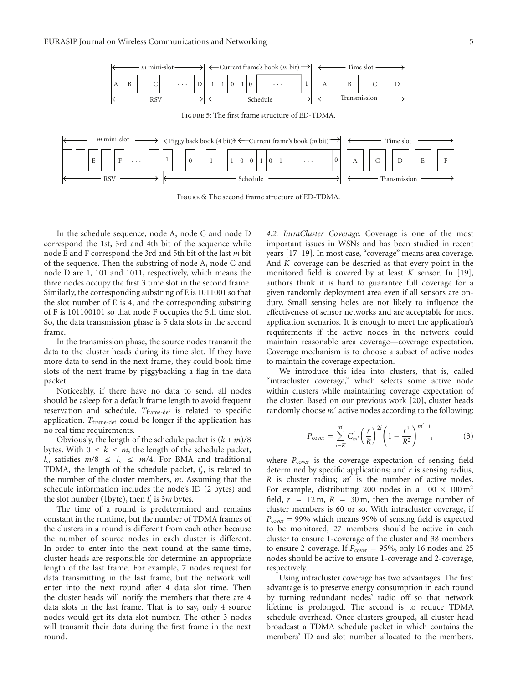

Figure 6: The second frame structure of ED-TDMA.

In the schedule sequence, node A, node C and node D correspond the 1st, 3rd and 4th bit of the sequence while node E and F correspond the 3rd and 5th bit of the last *m* bit of the sequence. Then the substring of node A, node C and node D are 1, 101 and 1011, respectively, which means the three nodes occupy the first 3 time slot in the second frame. Similarly, the corresponding substring of E is 1011001 so that the slot number of E is 4, and the corresponding substring of F is 101100101 so that node F occupies the 5th time slot. So, the data transmission phase is 5 data slots in the second frame.

In the transmission phase, the source nodes transmit the data to the cluster heads during its time slot. If they have more data to send in the next frame, they could book time slots of the next frame by piggybacking a flag in the data packet.

Noticeably, if there have no data to send, all nodes should be asleep for a default frame length to avoid frequent reservation and schedule. T<sub>frame-def</sub> is related to specific application. *T*<sub>frame-def</sub> could be longer if the application has no real time requirements.

Obviously, the length of the schedule packet is  $(k + m)/8$ bytes. With  $0 \leq k \leq m$ , the length of the schedule packet,  $l_s$ , satisfies  $m/8 \le l_s \le m/4$ . For BMA and traditional TDMA, the length of the schedule packet, *l <sup>s</sup>*, is related to the number of the cluster members, *m*. Assuming that the schedule information includes the node's ID (2 bytes) and the slot number (1byte), then *l <sup>s</sup>* is 3*m* bytes.

The time of a round is predetermined and remains constant in the runtime, but the number of TDMA frames of the clusters in a round is different from each other because the number of source nodes in each cluster is different. In order to enter into the next round at the same time, cluster heads are responsible for determine an appropriate length of the last frame. For example, 7 nodes request for data transmitting in the last frame, but the network will enter into the next round after 4 data slot time. Then the cluster heads will notify the members that there are 4 data slots in the last frame. That is to say, only 4 source nodes would get its data slot number. The other 3 nodes will transmit their data during the first frame in the next round.

*4.2. IntraCluster Coverage.* Coverage is one of the most important issues in WSNs and has been studied in recent years [17–19]. In most case, "coverage" means area coverage. And *K*-coverage can be descried as that every point in the monitored field is covered by at least *K* sensor. In [19], authors think it is hard to guarantee full coverage for a given randomly deployment area even if all sensors are onduty. Small sensing holes are not likely to influence the effectiveness of sensor networks and are acceptable for most application scenarios. It is enough to meet the application's requirements if the active nodes in the network could maintain reasonable area coverage—coverage expectation. Coverage mechanism is to choose a subset of active nodes to maintain the coverage expectation.

We introduce this idea into clusters, that is, called "intracluster coverage," which selects some active node within clusters while maintaining coverage expectation of the cluster. Based on our previous work [20], cluster heads randomly choose *m'* active nodes according to the following:

$$
P_{\text{cover}} = \sum_{i=K}^{m'} C_{m'}^i \left(\frac{r}{R}\right)^{2i} \left(1 - \frac{r^2}{R^2}\right)^{m'-i},\tag{3}
$$

where  $P_{\text{cover}}$  is the coverage expectation of sensing field determined by specific applications; and *r* is sensing radius, *R* is cluster radius; *m'* is the number of active nodes. For example, distributing 200 nodes in a  $100 \times 100 \,\mathrm{m}^2$ field,  $r = 12$  m,  $R = 30$  m, then the average number of cluster members is 60 or so. With intracluster coverage, if  $P_{\text{cover}} = 99\%$  which means 99% of sensing field is expected to be monitored, 27 members should be active in each cluster to ensure 1-coverage of the cluster and 38 members to ensure 2-coverage. If  $P_{\text{cover}} = 95\%$ , only 16 nodes and 25 nodes should be active to ensure 1-coverage and 2-coverage, respectively.

Using intracluster coverage has two advantages. The first advantage is to preserve energy consumption in each round by turning redundant nodes' radio off so that network lifetime is prolonged. The second is to reduce TDMA schedule overhead. Once clusters grouped, all cluster head broadcast a TDMA schedule packet in which contains the members' ID and slot number allocated to the members.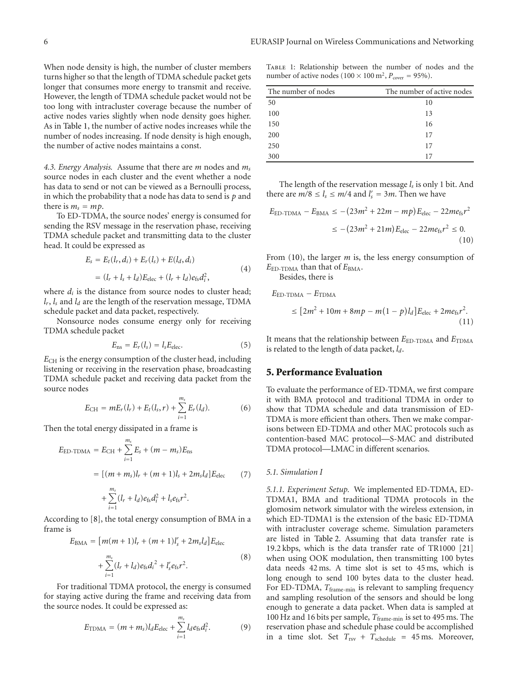When node density is high, the number of cluster members turns higher so that the length of TDMA schedule packet gets longer that consumes more energy to transmit and receive. However, the length of TDMA schedule packet would not be too long with intracluster coverage because the number of active nodes varies slightly when node density goes higher. As in Table 1, the number of active nodes increases while the number of nodes increasing. If node density is high enough, the number of active nodes maintains a const.

*4.3. Energy Analysis.* Assume that there are *m* nodes and *ms* source nodes in each cluster and the event whether a node has data to send or not can be viewed as a Bernoulli process, in which the probability that a node has data to send is *p* and there is  $m_s = mp$ .

To ED-TDMA, the source nodes' energy is consumed for sending the RSV message in the reservation phase, receiving TDMA schedule packet and transmitting data to the cluster head. It could be expressed as

$$
E_s = E_t(l_r, d_i) + E_r(l_s) + E(l_d, d_i)
$$
  
=  $(l_r + l_s + l_d)E_{\text{elec}} + (l_r + l_d)e_{\text{fs}}d_i^2,$  (4)

where  $d_i$  is the distance from source nodes to cluster head;  $l_r$ ,  $l_s$  and  $l_d$  are the length of the reservation message, TDMA schedule packet and data packet, respectively.

Nonsource nodes consume energy only for receiving TDMA schedule packet

$$
E_{\rm ns} = E_r(l_s) = l_s E_{\rm elec}.
$$
 (5)

*E*<sub>CH</sub> is the energy consumption of the cluster head, including listening or receiving in the reservation phase, broadcasting TDMA schedule packet and receiving data packet from the source nodes

$$
E_{\rm CH} = mE_r(l_r) + E_t(l_s, r) + \sum_{i=1}^{m_s} E_r(l_d). \tag{6}
$$

Then the total energy dissipated in a frame is

$$
E_{\text{ED-TDMA}} = E_{\text{CH}} + \sum_{i=1}^{m_s} E_s + (m - m_s) E_{\text{ns}}
$$

$$
= [(m + m_s)l_r + (m + 1)l_s + 2m_s l_d] E_{\text{elec}} \qquad (7)
$$

$$
m_s
$$

$$
+\sum_{i=1}^{m_s}(l_r+l_d)e_{\text{fs}}d_i^2+l_s e_{\text{fs}}r^2.
$$

According to [8], the total energy consumption of BMA in a frame is

$$
E_{\text{BMA}} = [m(m+1)l_r + (m+1)l'_s + 2m_s l_d]E_{\text{elec}}
$$
  
+ 
$$
\sum_{i=1}^{m_s} (l_r + l_d) e_{\text{fs}} d_i^2 + l'_s e_{\text{fs}} r^2.
$$
 (8)

For traditional TDMA protocol, the energy is consumed for staying active during the frame and receiving data from the source nodes. It could be expressed as:

$$
E_{\text{TDMA}} = (m + m_s) l_d E_{\text{elec}} + \sum_{i=1}^{m_s} l_d e_{\text{fs}} d_i^2. \tag{9}
$$

Table 1: Relationship between the number of nodes and the number of active nodes  $(100 \times 100 \text{ m}^2, P_{\text{cover}} = 95\%).$ 

| The number of nodes | The number of active nodes |
|---------------------|----------------------------|
| 50                  | 10                         |
| 100                 | 13                         |
| 150                 | 16                         |
| 200                 | 17                         |
| 250                 | 17                         |
| 300                 | 17                         |

The length of the reservation message *ls* is only 1 bit. And there are  $m/8 \le l_s \le m/4$  and  $l'_s = 3m$ . Then we have

$$
E_{\text{ED-TDMA}} - E_{\text{BMA}} \le -(23m^2 + 22m - mp)E_{\text{elec}} - 22me_{\text{fs}}r^2
$$
  

$$
\le -(23m^2 + 21m)E_{\text{elec}} - 22me_{\text{fs}}r^2 \le 0.
$$
  
(10)

From (10), the larger *m* is, the less energy consumption of  $E_{ED-TDMA}$  than that of  $E_{BMA}$ .

Besides, there is

$$
E_{\text{ED-TDMA}} - E_{\text{TDMA}} \\
\leq [2m^2 + 10m + 8mp - m(1 - p)l_d]E_{\text{elec}} + 2me_{\text{fs}}r^2. \tag{11}
$$

It means that the relationship between  $E_{ED-TDMA}$  and  $E_{TDMA}$ is related to the length of data packet, *ld*.

#### **5. Performance Evaluation**

To evaluate the performance of ED-TDMA, we first compare it with BMA protocol and traditional TDMA in order to show that TDMA schedule and data transmission of ED-TDMA is more efficient than others. Then we make comparisons between ED-TDMA and other MAC protocols such as contention-based MAC protocol—S-MAC and distributed TDMA protocol—LMAC in different scenarios.

#### *5.1. Simulation I*

*5.1.1. Experiment Setup.* We implemented ED-TDMA, ED-TDMA1, BMA and traditional TDMA protocols in the glomosim network simulator with the wireless extension, in which ED-TDMA1 is the extension of the basic ED-TDMA with intracluster coverage scheme. Simulation parameters are listed in Table 2. Assuming that data transfer rate is 19.2 kbps, which is the data transfer rate of TR1000 [21] when using OOK modulation, then transmitting 100 bytes data needs 42 ms. A time slot is set to 45 ms, which is long enough to send 100 bytes data to the cluster head. For ED-TDMA,  $T_{\text{frame-min}}$  is relevant to sampling frequency and sampling resolution of the sensors and should be long enough to generate a data packet. When data is sampled at 100 Hz and 16 bits per sample,  $T_{\text{frame-min}}$  is set to 495 ms. The reservation phase and schedule phase could be accomplished in a time slot. Set *T*rsv + *T*schedule = 45 ms. Moreover,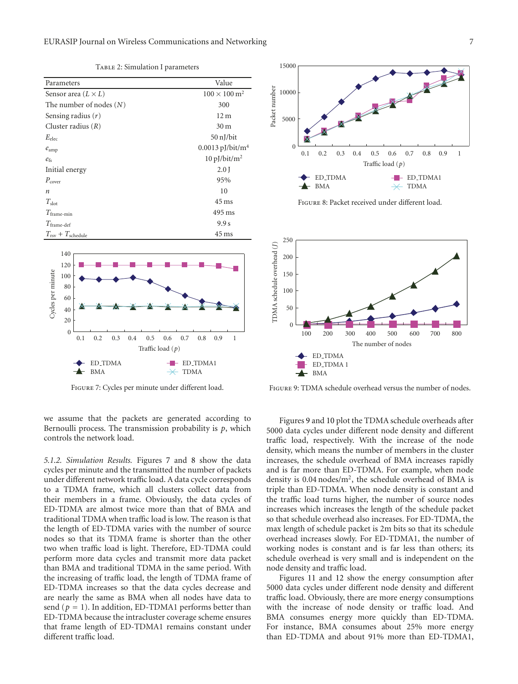TABLE 2: Simulation I parameters



Figure 7: Cycles per minute under different load.

we assume that the packets are generated according to Bernoulli process. The transmission probability is *p*, which controls the network load.

*5.1.2. Simulation Results.* Figures 7 and 8 show the data cycles per minute and the transmitted the number of packets under different network traffic load. A data cycle corresponds to a TDMA frame, which all clusters collect data from their members in a frame. Obviously, the data cycles of ED-TDMA are almost twice more than that of BMA and traditional TDMA when traffic load is low. The reason is that the length of ED-TDMA varies with the number of source nodes so that its TDMA frame is shorter than the other two when traffic load is light. Therefore, ED-TDMA could perform more data cycles and transmit more data packet than BMA and traditional TDMA in the same period. With the increasing of traffic load, the length of TDMA frame of ED-TDMA increases so that the data cycles decrease and are nearly the same as BMA when all nodes have data to send  $(p = 1)$ . In addition, ED-TDMA1 performs better than ED-TDMA because the intracluster coverage scheme ensures that frame length of ED-TDMA1 remains constant under different traffic load.



Figure 8: Packet received under different load.



Figure 9: TDMA schedule overhead versus the number of nodes.

Figures 9 and 10 plot the TDMA schedule overheads after 5000 data cycles under different node density and different traffic load, respectively. With the increase of the node density, which means the number of members in the cluster increases, the schedule overhead of BMA increases rapidly and is far more than ED-TDMA. For example, when node density is  $0.04$  nodes/m<sup>2</sup>, the schedule overhead of BMA is triple than ED-TDMA. When node density is constant and the traffic load turns higher, the number of source nodes increases which increases the length of the schedule packet so that schedule overhead also increases. For ED-TDMA, the max length of schedule packet is 2m bits so that its schedule overhead increases slowly. For ED-TDMA1, the number of working nodes is constant and is far less than others; its schedule overhead is very small and is independent on the node density and traffic load.

Figures 11 and 12 show the energy consumption after 5000 data cycles under different node density and different traffic load. Obviously, there are more energy consumptions with the increase of node density or traffic load. And BMA consumes energy more quickly than ED-TDMA. For instance, BMA consumes about 25% more energy than ED-TDMA and about 91% more than ED-TDMA1,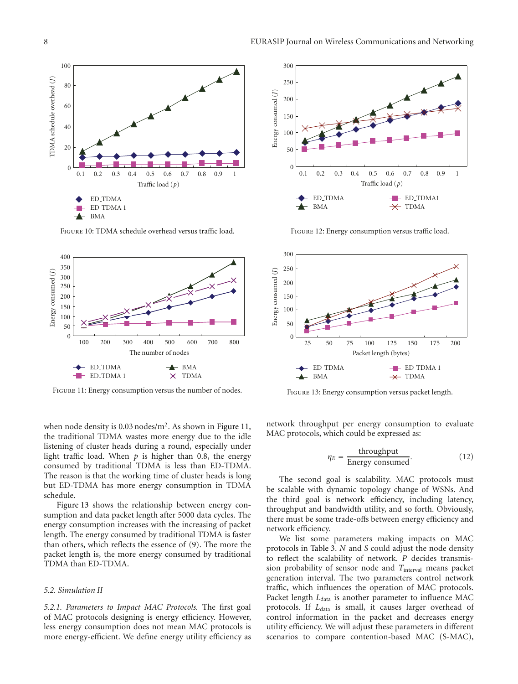

Figure 10: TDMA schedule overhead versus traffic load.



FIGURE 11: Energy consumption versus the number of nodes.

when node density is 0.03 nodes/m<sup>2</sup>. As shown in Figure 11, the traditional TDMA wastes more energy due to the idle listening of cluster heads during a round, especially under light traffic load. When *p* is higher than 0.8, the energy consumed by traditional TDMA is less than ED-TDMA. The reason is that the working time of cluster heads is long but ED-TDMA has more energy consumption in TDMA schedule.

Figure 13 shows the relationship between energy consumption and data packet length after 5000 data cycles. The energy consumption increases with the increasing of packet length. The energy consumed by traditional TDMA is faster than others, which reflects the essence of (9). The more the packet length is, the more energy consumed by traditional TDMA than ED-TDMA.

#### *5.2. Simulation II*

*5.2.1. Parameters to Impact MAC Protocols.* The first goal of MAC protocols designing is energy efficiency. However, less energy consumption does not mean MAC protocols is more energy-efficient. We define energy utility efficiency as



Figure 12: Energy consumption versus traffic load.



Figure 13: Energy consumption versus packet length.

network throughput per energy consumption to evaluate MAC protocols, which could be expressed as:

$$
\eta_E = \frac{\text{throughput}}{\text{Energy consumed}}.\tag{12}
$$

The second goal is scalability. MAC protocols must be scalable with dynamic topology change of WSNs. And the third goal is network efficiency, including latency, throughput and bandwidth utility, and so forth. Obviously, there must be some trade-offs between energy efficiency and network efficiency.

We list some parameters making impacts on MAC protocols in Table 3. *N* and *S* could adjust the node density to reflect the scalability of network. *P* decides transmission probability of sensor node and *T*interval means packet generation interval. The two parameters control network traffic, which influences the operation of MAC protocols. Packet length *L*<sub>data</sub> is another parameter to influence MAC protocols. If *L*data is small, it causes larger overhead of control information in the packet and decreases energy utility efficiency. We will adjust these parameters in different scenarios to compare contention-based MAC (S-MAC),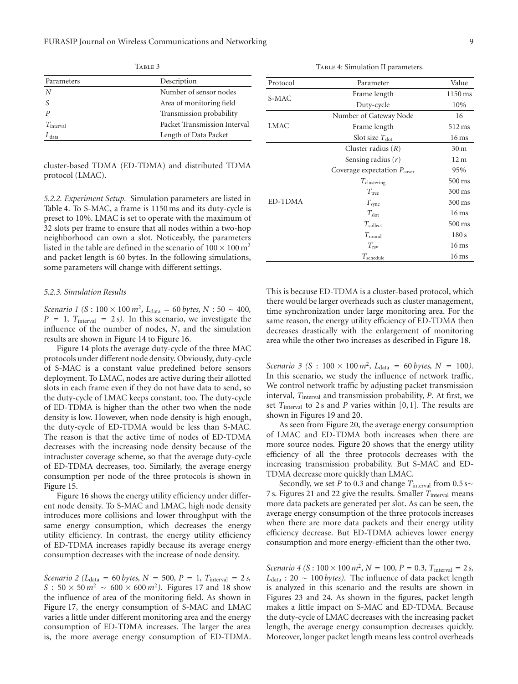| Parameters            | Description                  |
|-----------------------|------------------------------|
| N                     | Number of sensor nodes       |
|                       | Area of monitoring field     |
|                       | Transmission probability     |
| $T_{\text{interval}}$ | Packet Transmission Interval |
| data                  | Length of Data Packet        |

TABLE 3

cluster-based TDMA (ED-TDMA) and distributed TDMA protocol (LMAC).

*5.2.2. Experiment Setup.* Simulation parameters are listed in Table 4. To S-MAC, a frame is 1150 ms and its duty-cycle is preset to 10%. LMAC is set to operate with the maximum of 32 slots per frame to ensure that all nodes within a two-hop neighborhood can own a slot. Noticeably, the parameters listed in the table are defined in the scenario of  $100 \times 100$  m<sup>2</sup> and packet length is 60 bytes. In the following simulations, some parameters will change with different settings.

#### *5.2.3. Simulation Results*

*Scenario 1 (S* : 100 × 100  $m^2$ ,  $L_{data} = 60$  bytes,  $N$  : 50 ∼ 400,  $P = 1$ ,  $T_{\text{interval}} = 2 s$ . In this scenario, we investigate the influence of the number of nodes, *N*, and the simulation results are shown in Figure 14 to Figure 16.

Figure 14 plots the average duty-cycle of the three MAC protocols under different node density. Obviously, duty-cycle of S-MAC is a constant value predefined before sensors deployment. To LMAC, nodes are active during their allotted slots in each frame even if they do not have data to send, so the duty-cycle of LMAC keeps constant, too. The duty-cycle of ED-TDMA is higher than the other two when the node density is low. However, when node density is high enough, the duty-cycle of ED-TDMA would be less than S-MAC. The reason is that the active time of nodes of ED-TDMA decreases with the increasing node density because of the intracluster coverage scheme, so that the average duty-cycle of ED-TDMA decreases, too. Similarly, the average energy consumption per node of the three protocols is shown in Figure 15.

Figure 16 shows the energy utility efficiency under different node density. To S-MAC and LMAC, high node density introduces more collisions and lower throughput with the same energy consumption, which decreases the energy utility efficiency. In contrast, the energy utility efficiency of ED-TDMA increases rapidly because its average energy consumption decreases with the increase of node density.

*Scenario 2* ( $L_{data} = 60$  *bytes,*  $N = 500$ ,  $P = 1$ ,  $T_{interval} = 2$  *s*,  $S : 50 \times 50 \, m^2 \sim 600 \times 600 \, m^2$ . Figures 17 and 18 show the influence of area of the monitoring field. As shown in Figure 17, the energy consumption of S-MAC and LMAC varies a little under different monitoring area and the energy consumption of ED-TDMA increases. The larger the area is, the more average energy consumption of ED-TDMA.

TABLE 4: Simulation II parameters.

| Protocol       | Parameter                               | Value               |
|----------------|-----------------------------------------|---------------------|
| S-MAC          | Frame length                            | 1150 ms             |
|                | Duty-cycle                              | 10%                 |
|                | Number of Gateway Node                  | 16                  |
| LMAC           | Frame length                            | 512 ms              |
|                | Slot size $T_{\text{slot}}$             | 16 <sub>ms</sub>    |
|                | Cluster radius $(R)$                    | 30 <sub>m</sub>     |
|                | Sensing radius $(r)$                    | 12 <sub>m</sub>     |
|                | Coverage expectation $P_{\text{cover}}$ | 95%                 |
|                | $T_{\text{clustering}}$                 | $500 \,\mathrm{ms}$ |
|                | $T_{\text{tree}}$                       | 300 ms              |
| <b>ED-TDMA</b> | $T_{\rm sync}$                          | $300 \,\mathrm{ms}$ |
|                | $T_{\rm slot}$                          | $16 \,\mathrm{ms}$  |
|                | $T_{\text{collect}}$                    | $500 \,\mathrm{ms}$ |
|                | $T_{\text{round}}$                      | 180 s               |
|                | $T_{\rm{rsv}}$                          | 16 <sub>ms</sub>    |
|                | $T_{\rm schedule}$                      | 16 <sub>ms</sub>    |

This is because ED-TDMA is a cluster-based protocol, which there would be larger overheads such as cluster management, time synchronization under large monitoring area. For the same reason, the energy utility efficiency of ED-TDMA then decreases drastically with the enlargement of monitoring area while the other two increases as described in Figure 18.

*Scenario 3 (S : 100*  $\times$  *100*  $m^2$ *,*  $L_{data} = 60$  *bytes,*  $N = 100$ *).* In this scenario, we study the influence of network traffic. We control network traffic by adjusting packet transmission interval, *T*interval and transmission probability, *P*. At first, we set  $T_{\text{interval}}$  to 2 s and P varies within [0, 1]. The results are shown in Figures 19 and 20.

As seen from Figure 20, the average energy consumption of LMAC and ED-TDMA both increases when there are more source nodes. Figure 20 shows that the energy utility efficiency of all the three protocols decreases with the increasing transmission probability. But S-MAC and ED-TDMA decrease more quickly than LMAC.

Secondly, we set *P* to 0.3 and change *T*<sub>interval</sub> from 0.5 s∼ 7 s. Figures 21 and 22 give the results. Smaller *T*interval means more data packets are generated per slot. As can be seen, the average energy consumption of the three protocols increases when there are more data packets and their energy utility efficiency decrease. But ED-TDMA achieves lower energy consumption and more energy-efficient than the other two.

*Scenario* 4 (*S* :  $100 \times 100$   $m^2$ ,  $N = 100$ ,  $P = 0.3$ ,  $T_{\text{interval}} = 2$  *s*, *L*data : 20 ∼ 100 *bytes).* The influence of data packet length is analyzed in this scenario and the results are shown in Figures 23 and 24. As shown in the figures, packet length makes a little impact on S-MAC and ED-TDMA. Because the duty-cycle of LMAC decreases with the increasing packet length, the average energy consumption decreases quickly. Moreover, longer packet length means less control overheads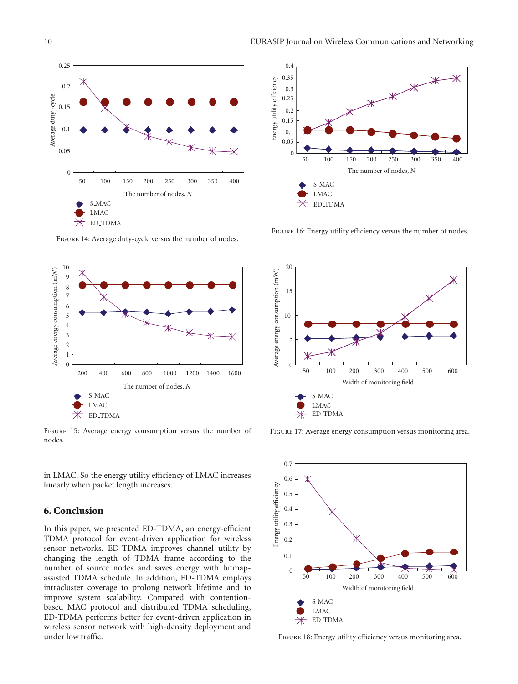

Figure 14: Average duty-cycle versus the number of nodes.



Figure 15: Average energy consumption versus the number of nodes.

in LMAC. So the energy utility efficiency of LMAC increases linearly when packet length increases.

#### **6. Conclusion**

In this paper, we presented ED-TDMA, an energy-efficient TDMA protocol for event-driven application for wireless sensor networks. ED-TDMA improves channel utility by changing the length of TDMA frame according to the number of source nodes and saves energy with bitmapassisted TDMA schedule. In addition, ED-TDMA employs intracluster coverage to prolong network lifetime and to improve system scalability. Compared with contentionbased MAC protocol and distributed TDMA scheduling, ED-TDMA performs better for event-driven application in wireless sensor network with high-density deployment and under low traffic.



Figure 16: Energy utility efficiency versus the number of nodes.



FIGURE 17: Average energy consumption versus monitoring area.



FIGURE 18: Energy utility efficiency versus monitoring area.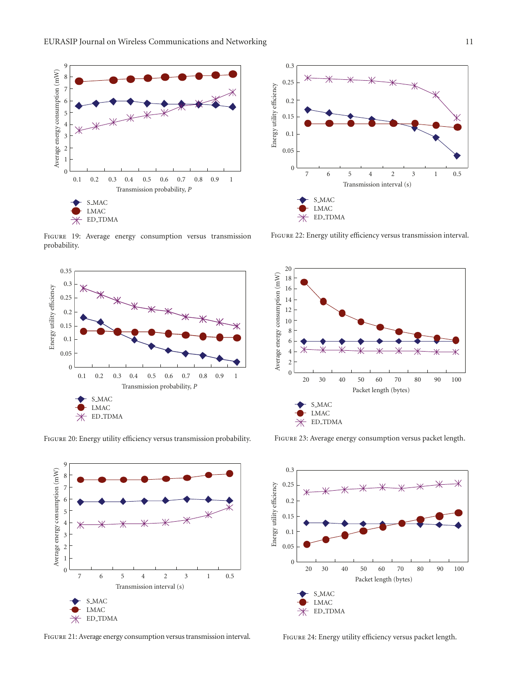

FIGURE 19: Average energy consumption versus transmission probability.



Figure 20: Energy utility efficiency versus transmission probability.



Figure 21: Average energy consumption versus transmission interval.



FIGURE 22: Energy utility efficiency versus transmission interval.



FIGURE 23: Average energy consumption versus packet length.



Figure 24: Energy utility efficiency versus packet length.